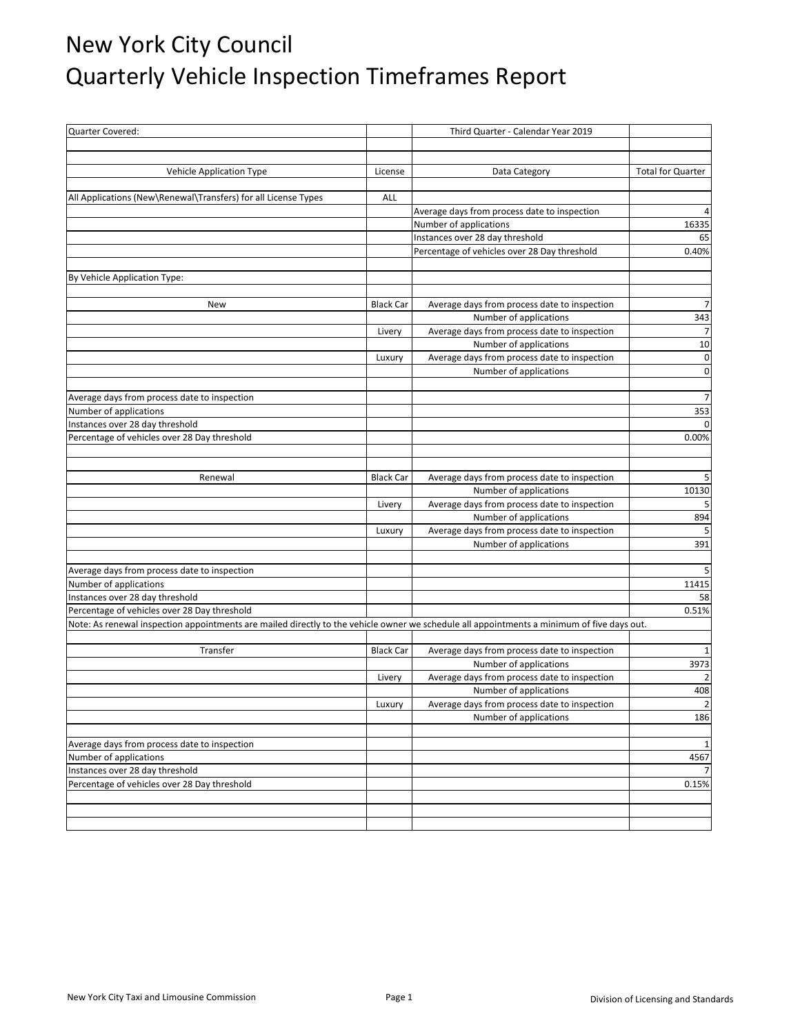## New York City Council Quarterly Vehicle Inspection Timeframes Report

| Quarter Covered:                                                                                                                           |                  | Third Quarter - Calendar Year 2019                                     |                          |
|--------------------------------------------------------------------------------------------------------------------------------------------|------------------|------------------------------------------------------------------------|--------------------------|
|                                                                                                                                            |                  |                                                                        |                          |
|                                                                                                                                            |                  |                                                                        |                          |
| Vehicle Application Type                                                                                                                   | License          | Data Category                                                          | <b>Total for Quarter</b> |
| All Applications (New\Renewal\Transfers) for all License Types                                                                             | ALL              |                                                                        |                          |
|                                                                                                                                            |                  | Average days from process date to inspection                           |                          |
|                                                                                                                                            |                  | Number of applications                                                 | 16335                    |
|                                                                                                                                            |                  | Instances over 28 day threshold                                        | 65                       |
|                                                                                                                                            |                  | Percentage of vehicles over 28 Day threshold                           | 0.40%                    |
|                                                                                                                                            |                  |                                                                        |                          |
| By Vehicle Application Type:                                                                                                               |                  |                                                                        |                          |
|                                                                                                                                            |                  |                                                                        |                          |
| New                                                                                                                                        | <b>Black Car</b> | Average days from process date to inspection                           | 7                        |
|                                                                                                                                            |                  | Number of applications                                                 | 343                      |
|                                                                                                                                            | Livery           | Average days from process date to inspection                           | $\overline{7}$           |
|                                                                                                                                            |                  | Number of applications                                                 | 10                       |
|                                                                                                                                            | Luxury           | Average days from process date to inspection                           | $\pmb{0}$                |
|                                                                                                                                            |                  | Number of applications                                                 | $\overline{0}$           |
|                                                                                                                                            |                  |                                                                        |                          |
| Average days from process date to inspection                                                                                               |                  |                                                                        | $\overline{7}$           |
| Number of applications                                                                                                                     |                  |                                                                        | 353                      |
| Instances over 28 day threshold                                                                                                            |                  |                                                                        | $\Omega$                 |
| Percentage of vehicles over 28 Day threshold                                                                                               |                  |                                                                        | 0.00%                    |
|                                                                                                                                            |                  |                                                                        |                          |
|                                                                                                                                            |                  |                                                                        |                          |
| Renewal                                                                                                                                    | <b>Black Car</b> | Average days from process date to inspection<br>Number of applications | 5<br>10130               |
|                                                                                                                                            | Livery           | Average days from process date to inspection                           |                          |
|                                                                                                                                            |                  | Number of applications                                                 | 894                      |
|                                                                                                                                            | Luxury           | Average days from process date to inspection                           | 5                        |
|                                                                                                                                            |                  | Number of applications                                                 | 391                      |
|                                                                                                                                            |                  |                                                                        |                          |
| Average days from process date to inspection                                                                                               |                  |                                                                        | 5                        |
| Number of applications                                                                                                                     |                  |                                                                        | 11415                    |
| Instances over 28 day threshold                                                                                                            |                  |                                                                        | 58                       |
| Percentage of vehicles over 28 Day threshold                                                                                               |                  |                                                                        | 0.51%                    |
| Note: As renewal inspection appointments are mailed directly to the vehicle owner we schedule all appointments a minimum of five days out. |                  |                                                                        |                          |
|                                                                                                                                            |                  |                                                                        |                          |
| Transfer                                                                                                                                   | <b>Black Car</b> | Average days from process date to inspection                           | 1                        |
|                                                                                                                                            |                  | Number of applications                                                 | 3973                     |
|                                                                                                                                            | Livery           | Average days from process date to inspection                           | 2                        |
|                                                                                                                                            |                  | Number of applications                                                 | 408                      |
|                                                                                                                                            | Luxury           | Average days from process date to inspection                           | $\overline{2}$           |
|                                                                                                                                            |                  | Number of applications                                                 | 186                      |
| Average days from process date to inspection                                                                                               |                  |                                                                        | 1                        |
| Number of applications                                                                                                                     |                  |                                                                        | 4567                     |
| Instances over 28 day threshold                                                                                                            |                  |                                                                        |                          |
| Percentage of vehicles over 28 Day threshold                                                                                               |                  |                                                                        | 0.15%                    |
|                                                                                                                                            |                  |                                                                        |                          |
|                                                                                                                                            |                  |                                                                        |                          |
|                                                                                                                                            |                  |                                                                        |                          |
|                                                                                                                                            |                  |                                                                        |                          |